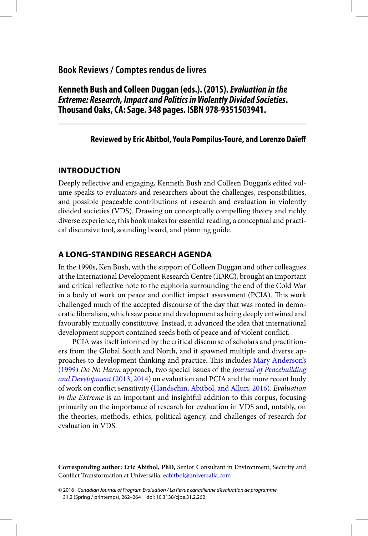# <span id="page-0-0"></span>**Book Reviews / Comptes rendus de livres**

 **Kenneth Bush and Colleen Duggan (eds.). (2015). Evaluation in the Extreme: Research, Impact and Politics in Violently Divided Societies . Thousand Oaks, CA: Sage. 348 pages. ISBN 978-9351503941.** 

### **Reviewed by Eric Abitbol , Youla Pompilus-Touré , and Lorenzo Daïeff**

### **INTRODUCTION**

Deeply reflective and engaging, Kenneth Bush and Colleen Duggan's edited volume speaks to evaluators and researchers about the challenges, responsibilities, and possible peaceable contributions of research and evaluation in violently divided societies (VDS). Drawing on conceptually compelling theory and richly diverse experience, this book makes for essential reading, a conceptual and practical discursive tool, sounding board, and planning guide.

## **A LONG-STANDING RESEARCH AGENDA**

 In the 1990s, Ken Bush, with the support of Colleen Duggan and other colleagues at the International Development Research Centre (IDRC), brought an important and critical reflective note to the euphoria surrounding the end of the Cold War in a body of work on peace and conflict impact assessment (PCIA). This work challenged much of the accepted discourse of the day that was rooted in democratic liberalism, which saw peace and development as being deeply entwined and favourably mutually constitutive. Instead, it advanced the idea that international development support contained seeds both of peace and of violent conflict.

 PCIA was itself informed by the critical discourse of scholars and practitioners from the Global South and North, and it spawned multiple and diverse ap-proaches to development thinking and practice. This includes [Mary Anderson's](#page-2-0) [\(1999\)](#page-2-0) Do No Harm approach, two special issues of the [Journal of Peacebuilding](#page-2-0) [and Development](#page-2-0) (2013, [2014](#page-2-0)) on evaluation and PCIA and the more recent body of work on conflict sensitivity (Handschin, Abitbol, and Alluri, 2016). Evaluation in the Extreme is an important and insightful addition to this corpus, focusing primarily on the importance of research for evaluation in VDS and, notably, on the theories, methods, ethics, political agency, and challenges of research for evaluation in VDS.

**Corresponding author: Eric Abitbol, PhD,** Senior Consultant in Environment, Security and Conflict Transformation at Universalia, [eabitbol@universalia.com](mailto:eabitbol@universalia.com)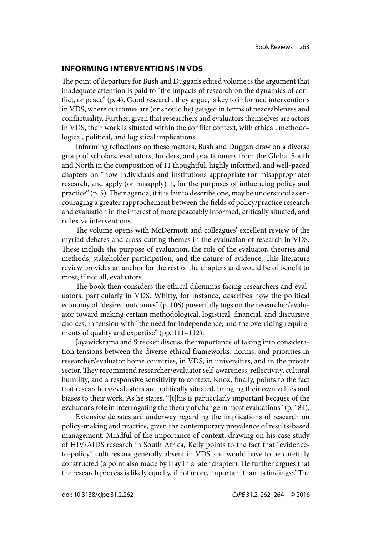#### **INFORMING INTERVENTIONS IN VDS**

The point of departure for Bush and Duggan's edited volume is the argument that inadequate attention is paid to "the impacts of research on the dynamics of conflict, or peace"  $(p, 4)$ . Good research, they argue, is key to informed interventions in VDS, where outcomes are (or should be) gauged in terms of peaceableness and conflictuality. Further, given that researchers and evaluators themselves are actors in VDS, their work is situated within the conflict context, with ethical, methodological, political, and logistical implications.

Informing reflections on these matters, Bush and Duggan draw on a diverse group of scholars, evaluators, funders, and practitioners from the Global South and North in the composition of 11 thoughtful, highly informed, and well-paced chapters on "how individuals and institutions appropriate (or misappropriate) research, and apply (or misapply) it, for the purposes of influencing policy and practice" (p. 5). Their agenda, if it is fair to describe one, may be understood as encouraging a greater rapprochement between the fields of policy/practice research and evaluation in the interest of more peaceably informed, critically situated, and reflexive interventions.

The volume opens with McDermott and colleagues' excellent review of the myriad debates and cross-cutting themes in the evaluation of research in VDS. These include the purpose of evaluation, the role of the evaluator, theories and methods, stakeholder participation, and the nature of evidence. This literature review provides an anchor for the rest of the chapters and would be of benefit to most, if not all, evaluators.

The book then considers the ethical dilemmas facing researchers and evaluators, particularly in VDS. Whitty, for instance, describes how the political economy of "desired outcomes" (p. 106) powerfully tugs on the researcher/evaluator toward making certain methodological, logistical, financial, and discursive choices, in tension with "the need for independence; and the overriding requirements of quality and expertise" (pp. 111–112).

 Jayawickrama and Strecker discuss the importance of taking into consideration tensions between the diverse ethical frameworks, norms, and priorities in researcher/evaluator home countries, in VDS, in universities, and in the private sector. They recommend researcher/evaluator self-awareness, reflectivity, cultural humility, and a responsive sensitivity to context. Knox, finally, points to the fact that researchers/evaluators are politically situated, bringing their own values and biases to their work. As he states, "[t]his is particularly important because of the evaluator's role in interrogating the theory of change in most evaluations" (p. 184).

 Extensive debates are underway regarding the implications of research on policy-making and practice, given the contemporary prevalence of results-based management. Mindful of the importance of context, drawing on his case study of HIV/AIDS research in South Africa, Kelly points to the fact that "evidenceto-policy" cultures are generally absent in VDS and would have to be carefully constructed (a point also made by Hay in a later chapter). He further argues that the research process is likely equally, if not more, important than its findings: "The